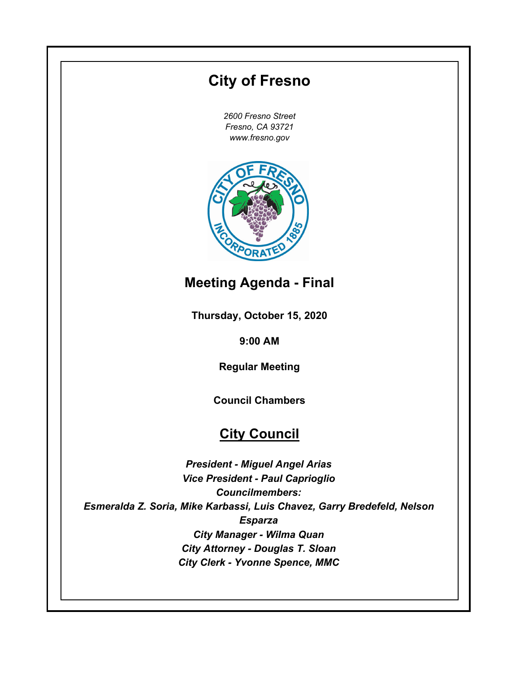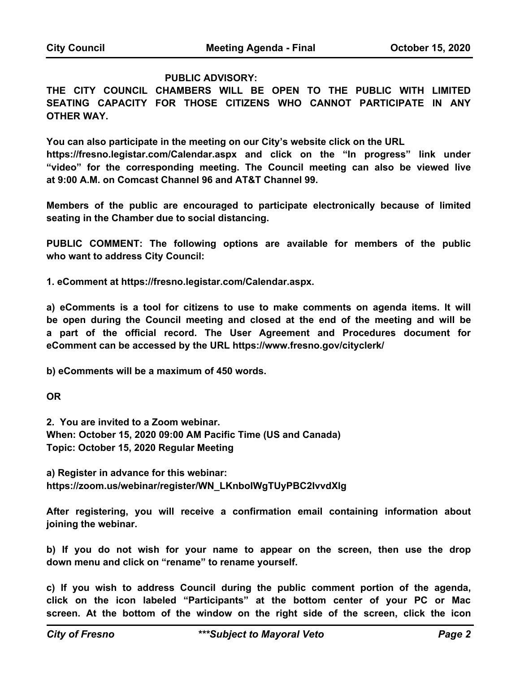#### **PUBLIC ADVISORY:**

**THE CITY COUNCIL CHAMBERS WILL BE OPEN TO THE PUBLIC WITH LIMITED SEATING CAPACITY FOR THOSE CITIZENS WHO CANNOT PARTICIPATE IN ANY OTHER WAY.** 

**You can also participate in the meeting on our City's website click on the URL** 

**https://fresno.legistar.com/Calendar.aspx and click on the "In progress" link under "video" for the corresponding meeting. The Council meeting can also be viewed live at 9:00 A.M. on Comcast Channel 96 and AT&T Channel 99.**

**Members of the public are encouraged to participate electronically because of limited seating in the Chamber due to social distancing.** 

**PUBLIC COMMENT: The following options are available for members of the public who want to address City Council:** 

**1. eComment at https://fresno.legistar.com/Calendar.aspx.**

**a) eComments is a tool for citizens to use to make comments on agenda items. It will be open during the Council meeting and closed at the end of the meeting and will be a part of the official record. The User Agreement and Procedures document for eComment can be accessed by the URL https://www.fresno.gov/cityclerk/** 

**b) eComments will be a maximum of 450 words.** 

**OR**

**2. You are invited to a Zoom webinar. When: October 15, 2020 09:00 AM Pacific Time (US and Canada) Topic: October 15, 2020 Regular Meeting** 

**a) Register in advance for this webinar: https://zoom.us/webinar/register/WN\_LKnboIWgTUyPBC2IvvdXlg**

**After registering, you will receive a confirmation email containing information about joining the webinar.**

**b) If you do not wish for your name to appear on the screen, then use the drop down menu and click on "rename" to rename yourself.**

**c) If you wish to address Council during the public comment portion of the agenda, click on the icon labeled "Participants" at the bottom center of your PC or Mac screen. At the bottom of the window on the right side of the screen, click the icon**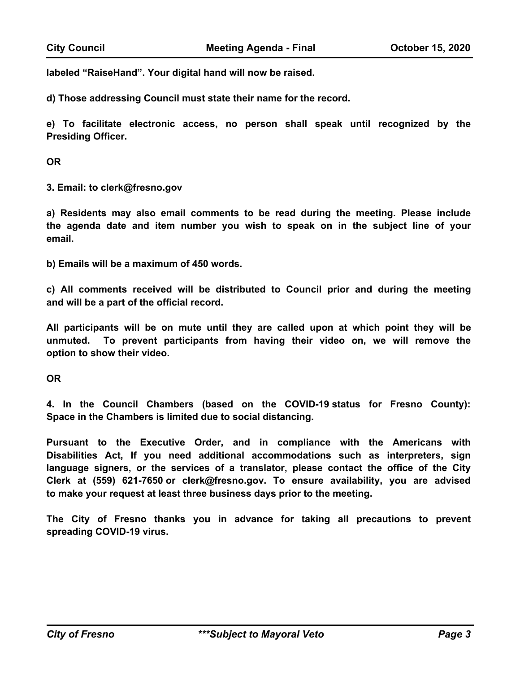**labeled "RaiseHand". Your digital hand will now be raised.** 

**d) Those addressing Council must state their name for the record.**

**e) To facilitate electronic access, no person shall speak until recognized by the Presiding Officer.** 

**OR**

**3. Email: to clerk@fresno.gov**

**a) Residents may also email comments to be read during the meeting. Please include the agenda date and item number you wish to speak on in the subject line of your email.**

**b) Emails will be a maximum of 450 words.**

**c) All comments received will be distributed to Council prior and during the meeting and will be a part of the official record.** 

**All participants will be on mute until they are called upon at which point they will be unmuted. To prevent participants from having their video on, we will remove the option to show their video.**

**OR**

**4. In the Council Chambers (based on the COVID-19 status for Fresno County): Space in the Chambers is limited due to social distancing.**

**Pursuant to the Executive Order, and in compliance with the Americans with Disabilities Act, If you need additional accommodations such as interpreters, sign language signers, or the services of a translator, please contact the office of the City Clerk at (559) 621-7650 or clerk@fresno.gov. To ensure availability, you are advised to make your request at least three business days prior to the meeting.** 

**The City of Fresno thanks you in advance for taking all precautions to prevent spreading COVID-19 virus.**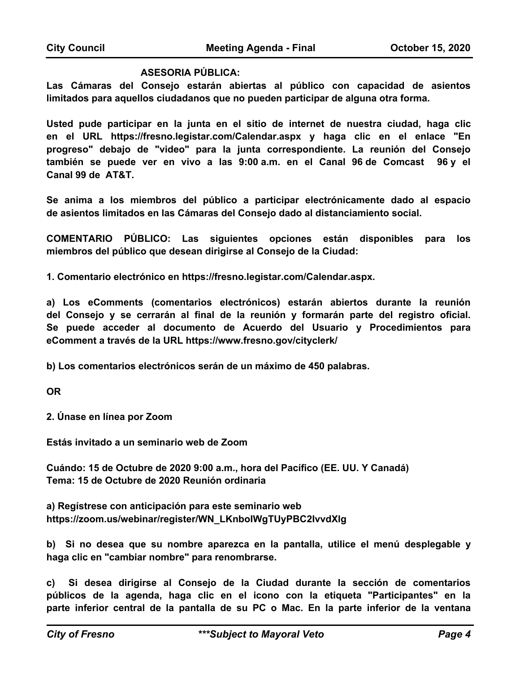#### **ASESORIA PÚBLICA:**

**Las Cámaras del Consejo estarán abiertas al público con capacidad de asientos limitados para aquellos ciudadanos que no pueden participar de alguna otra forma.** 

**Usted pude participar en la junta en el sitio de internet de nuestra ciudad, haga clic en el URL https://fresno.legistar.com/Calendar.aspx y haga clic en el enlace "En progreso" debajo de "video" para la junta correspondiente. La reunión del Consejo también se puede ver en vivo a las 9:00 a.m. en el Canal 96 de Comcast 96 y el Canal 99 de AT&T.**

**Se anima a los miembros del público a participar electrónicamente dado al espacio de asientos limitados en las Cámaras del Consejo dado al distanciamiento social.** 

**COMENTARIO PÚBLICO: Las siguientes opciones están disponibles para los miembros del público que desean dirigirse al Consejo de la Ciudad:**

**1. Comentario electrónico en https://fresno.legistar.com/Calendar.aspx.**

**a) Los eComments (comentarios electrónicos) estarán abiertos durante la reunión del Consejo y se cerrarán al final de la reunión y formarán parte del registro oficial. Se puede acceder al documento de Acuerdo del Usuario y Procedimientos para eComment a través de la URL https://www.fresno.gov/cityclerk/**

**b) Los comentarios electrónicos serán de un máximo de 450 palabras.**

**OR**

**2. Únase en línea por Zoom**

**Estás invitado a un seminario web de Zoom**

**Cuándo: 15 de Octubre de 2020 9:00 a.m., hora del Pacífico (EE. UU. Y Canadá) Tema: 15 de Octubre de 2020 Reunión ordinaria**

**a) Regístrese con anticipación para este seminario web https://zoom.us/webinar/register/WN\_LKnboIWgTUyPBC2IvvdXlg**

**b) Si no desea que su nombre aparezca en la pantalla, utilice el menú desplegable y haga clic en "cambiar nombre" para renombrarse.**

**c) Si desea dirigirse al Consejo de la Ciudad durante la sección de comentarios públicos de la agenda, haga clic en el icono con la etiqueta "Participantes" en la parte inferior central de la pantalla de su PC o Mac. En la parte inferior de la ventana**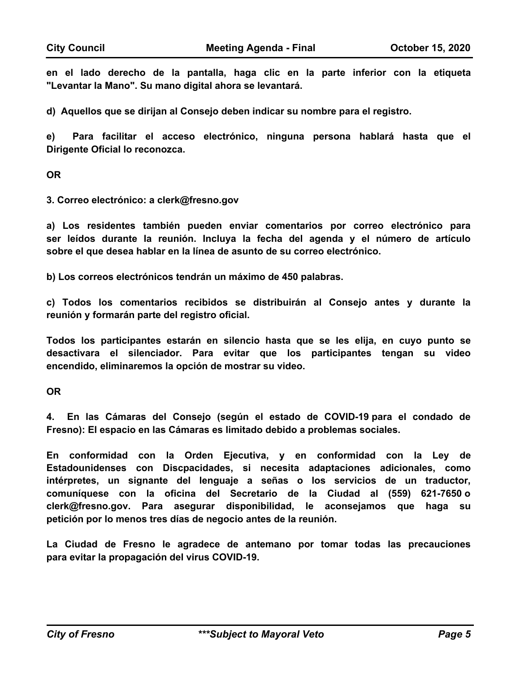**en el lado derecho de la pantalla, haga clic en la parte inferior con la etiqueta "Levantar la Mano". Su mano digital ahora se levantará.**

**d) Aquellos que se dirijan al Consejo deben indicar su nombre para el registro.**

**e) Para facilitar el acceso electrónico, ninguna persona hablará hasta que el Dirigente Oficial lo reconozca.**

**OR**

**3. Correo electrónico: a clerk@fresno.gov**

**a) Los residentes también pueden enviar comentarios por correo electrónico para ser leídos durante la reunión. Incluya la fecha del agenda y el número de artículo sobre el que desea hablar en la línea de asunto de su correo electrónico.** 

**b) Los correos electrónicos tendrán un máximo de 450 palabras.**

**c) Todos los comentarios recibidos se distribuirán al Consejo antes y durante la reunión y formarán parte del registro oficial.**

**Todos los participantes estarán en silencio hasta que se les elija, en cuyo punto se desactivara el silenciador. Para evitar que los participantes tengan su video encendido, eliminaremos la opción de mostrar su video.**

**OR**

**4. En las Cámaras del Consejo (según el estado de COVID-19 para el condado de Fresno): El espacio en las Cámaras es limitado debido a problemas sociales.**

**En conformidad con la Orden Ejecutiva, y en conformidad con la Ley de Estadounidenses con Discpacidades, si necesita adaptaciones adicionales, como intérpretes, un signante del lenguaje a señas o los servicios de un traductor, comuníquese con la oficina del Secretario de la Ciudad al (559) 621-7650 o clerk@fresno.gov. Para asegurar disponibilidad, le aconsejamos que haga su petición por lo menos tres días de negocio antes de la reunión.** 

**La Ciudad de Fresno le agradece de antemano por tomar todas las precauciones para evitar la propagación del virus COVID-19.**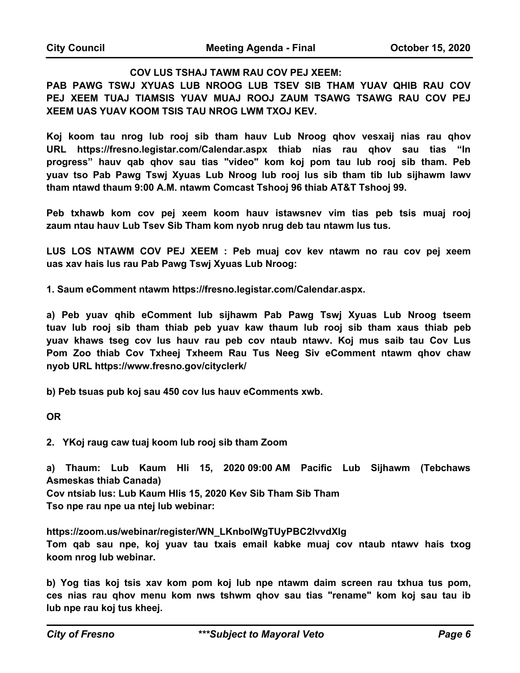#### **COV LUS TSHAJ TAWM RAU COV PEJ XEEM:**

**PAB PAWG TSWJ XYUAS LUB NROOG LUB TSEV SIB THAM YUAV QHIB RAU COV PEJ XEEM TUAJ TIAMSIS YUAV MUAJ ROOJ ZAUM TSAWG TSAWG RAU COV PEJ XEEM UAS YUAV KOOM TSIS TAU NROG LWM TXOJ KEV.**

**Koj koom tau nrog lub rooj sib tham hauv Lub Nroog qhov vesxaij nias rau qhov URL https://fresno.legistar.com/Calendar.aspx thiab nias rau qhov sau tias "In progress" hauv qab qhov sau tias "video" kom koj pom tau lub rooj sib tham. Peb yuav tso Pab Pawg Tswj Xyuas Lub Nroog lub rooj lus sib tham tib lub sijhawm lawv tham ntawd thaum 9:00 A.M. ntawm Comcast Tshooj 96 thiab AT&T Tshooj 99.**

**Peb txhawb kom cov pej xeem koom hauv istawsnev vim tias peb tsis muaj rooj zaum ntau hauv Lub Tsev Sib Tham kom nyob nrug deb tau ntawm lus tus.** 

**LUS LOS NTAWM COV PEJ XEEM : Peb muaj cov kev ntawm no rau cov pej xeem uas xav hais lus rau Pab Pawg Tswj Xyuas Lub Nroog:** 

**1. Saum eComment ntawm https://fresno.legistar.com/Calendar.aspx.**

**a) Peb yuav qhib eComment lub sijhawm Pab Pawg Tswj Xyuas Lub Nroog tseem tuav lub rooj sib tham thiab peb yuav kaw thaum lub rooj sib tham xaus thiab peb yuav khaws tseg cov lus hauv rau peb cov ntaub ntawv. Koj mus saib tau Cov Lus Pom Zoo thiab Cov Txheej Txheem Rau Tus Neeg Siv eComment ntawm qhov chaw nyob URL https://www.fresno.gov/cityclerk/** 

**b) Peb tsuas pub koj sau 450 cov lus hauv eComments xwb.** 

**OR**

**2. YKoj raug caw tuaj koom lub rooj sib tham Zoom**

**a) Thaum: Lub Kaum Hli 15, 2020 09:00 AM Pacific Lub Sijhawm (Tebchaws Asmeskas thiab Canada)**

**Cov ntsiab lus: Lub Kaum Hlis 15, 2020 Kev Sib Tham Sib Tham Tso npe rau npe ua ntej lub webinar:**

**https://zoom.us/webinar/register/WN\_LKnboIWgTUyPBC2IvvdXlg Tom qab sau npe, koj yuav tau txais email kabke muaj cov ntaub ntawv hais txog koom nrog lub webinar.** 

**b) Yog tias koj tsis xav kom pom koj lub npe ntawm daim screen rau txhua tus pom, ces nias rau qhov menu kom nws tshwm qhov sau tias "rename" kom koj sau tau ib lub npe rau koj tus kheej.**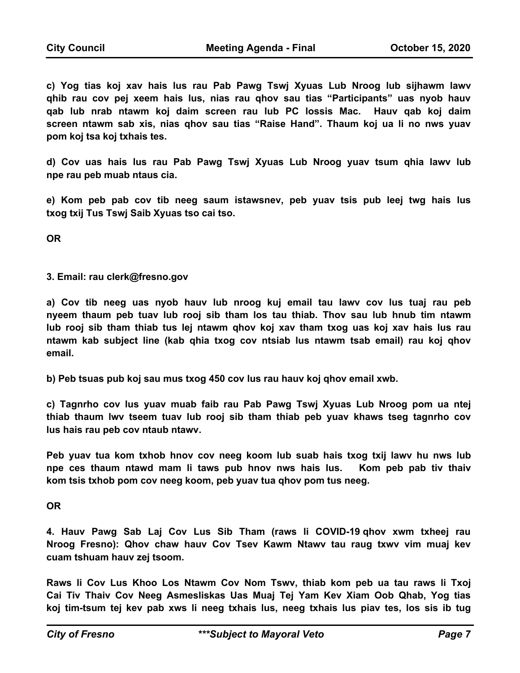**c) Yog tias koj xav hais lus rau Pab Pawg Tswj Xyuas Lub Nroog lub sijhawm lawv qhib rau cov pej xeem hais lus, nias rau qhov sau tias "Participants" uas nyob hauv qab lub nrab ntawm koj daim screen rau lub PC lossis Mac. Hauv qab koj daim screen ntawm sab xis, nias qhov sau tias "Raise Hand". Thaum koj ua li no nws yuav pom koj tsa koj txhais tes.** 

**d) Cov uas hais lus rau Pab Pawg Tswj Xyuas Lub Nroog yuav tsum qhia lawv lub npe rau peb muab ntaus cia.**

**e) Kom peb pab cov tib neeg saum istawsnev, peb yuav tsis pub leej twg hais lus txog txij Tus Tswj Saib Xyuas tso cai tso.** 

**OR**

**3. Email: rau clerk@fresno.gov**

**a) Cov tib neeg uas nyob hauv lub nroog kuj email tau lawv cov lus tuaj rau peb nyeem thaum peb tuav lub rooj sib tham los tau thiab. Thov sau lub hnub tim ntawm lub rooj sib tham thiab tus lej ntawm qhov koj xav tham txog uas koj xav hais lus rau ntawm kab subject line (kab qhia txog cov ntsiab lus ntawm tsab email) rau koj qhov email.** 

**b) Peb tsuas pub koj sau mus txog 450 cov lus rau hauv koj qhov email xwb.**

**c) Tagnrho cov lus yuav muab faib rau Pab Pawg Tswj Xyuas Lub Nroog pom ua ntej thiab thaum lwv tseem tuav lub rooj sib tham thiab peb yuav khaws tseg tagnrho cov lus hais rau peb cov ntaub ntawv.** 

**Peb yuav tua kom txhob hnov cov neeg koom lub suab hais txog txij lawv hu nws lub npe ces thaum ntawd mam li taws pub hnov nws hais lus. Kom peb pab tiv thaiv kom tsis txhob pom cov neeg koom, peb yuav tua qhov pom tus neeg.** 

**OR**

**4. Hauv Pawg Sab Laj Cov Lus Sib Tham (raws li COVID-19 qhov xwm txheej rau Nroog Fresno): Qhov chaw hauv Cov Tsev Kawm Ntawv tau raug txwv vim muaj kev cuam tshuam hauv zej tsoom.** 

**Raws li Cov Lus Khoo Los Ntawm Cov Nom Tswv, thiab kom peb ua tau raws li Txoj Cai Tiv Thaiv Cov Neeg Asmesliskas Uas Muaj Tej Yam Kev Xiam Oob Qhab, Yog tias koj tim-tsum tej kev pab xws li neeg txhais lus, neeg txhais lus piav tes, los sis ib tug**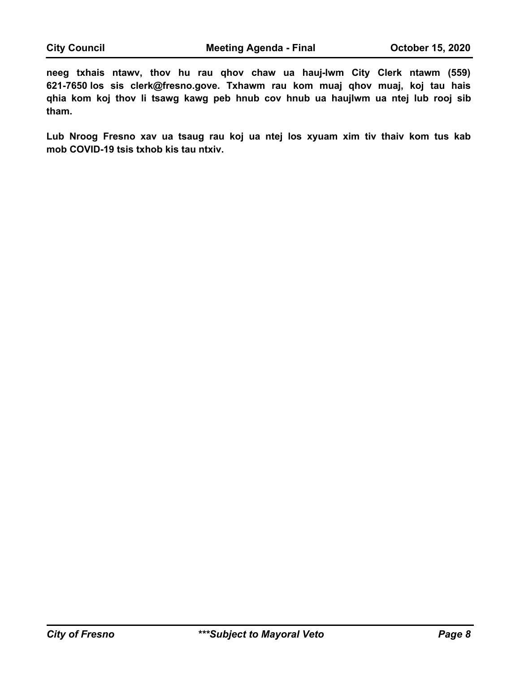**neeg txhais ntawv, thov hu rau qhov chaw ua hauj-lwm City Clerk ntawm (559) 621-7650 los sis clerk@fresno.gove. Txhawm rau kom muaj qhov muaj, koj tau hais qhia kom koj thov li tsawg kawg peb hnub cov hnub ua haujlwm ua ntej lub rooj sib tham.**

**Lub Nroog Fresno xav ua tsaug rau koj ua ntej los xyuam xim tiv thaiv kom tus kab mob COVID-19 tsis txhob kis tau ntxiv.**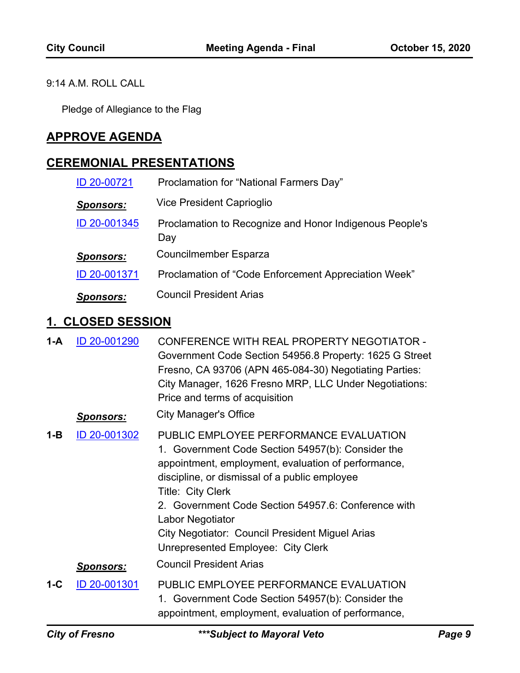### 9:14 A.M. ROLL CALL

Pledge of Allegiance to the Flag

# **APPROVE AGENDA**

## **CEREMONIAL PRESENTATIONS**

| ID 20-00721      | Proclamation for "National Farmers Day"                        |
|------------------|----------------------------------------------------------------|
| <b>Sponsors:</b> | Vice President Caprioglio                                      |
| ID 20-001345     | Proclamation to Recognize and Honor Indigenous People's<br>Day |
| <b>Sponsors:</b> | <b>Councilmember Esparza</b>                                   |
| ID 20-001371     | Proclamation of "Code Enforcement Appreciation Week"           |
| <b>Sponsors:</b> | <b>Council President Arias</b>                                 |

## **1. CLOSED SESSION**

| 1-A     | ID 20-001290     | CONFERENCE WITH REAL PROPERTY NEGOTIATOR -<br>Government Code Section 54956.8 Property: 1625 G Street<br>Fresno, CA 93706 (APN 465-084-30) Negotiating Parties:<br>City Manager, 1626 Fresno MRP, LLC Under Negotiations:<br>Price and terms of acquisition                                                                                                                                  |
|---------|------------------|----------------------------------------------------------------------------------------------------------------------------------------------------------------------------------------------------------------------------------------------------------------------------------------------------------------------------------------------------------------------------------------------|
|         | <u>Sponsors:</u> | <b>City Manager's Office</b>                                                                                                                                                                                                                                                                                                                                                                 |
| $1 - B$ | ID 20-001302     | PUBLIC EMPLOYEE PERFORMANCE EVALUATION<br>1. Government Code Section 54957(b): Consider the<br>appointment, employment, evaluation of performance,<br>discipline, or dismissal of a public employee<br>Title: City Clerk<br>2. Government Code Section 54957.6: Conference with<br>Labor Negotiator<br>City Negotiator: Council President Miguel Arias<br>Unrepresented Employee: City Clerk |
|         | <u>Sponsors:</u> | <b>Council President Arias</b>                                                                                                                                                                                                                                                                                                                                                               |
| 1-C     | ID 20-001301     | PUBLIC EMPLOYEE PERFORMANCE EVALUATION<br>1. Government Code Section 54957(b): Consider the<br>appointment, employment, evaluation of performance,                                                                                                                                                                                                                                           |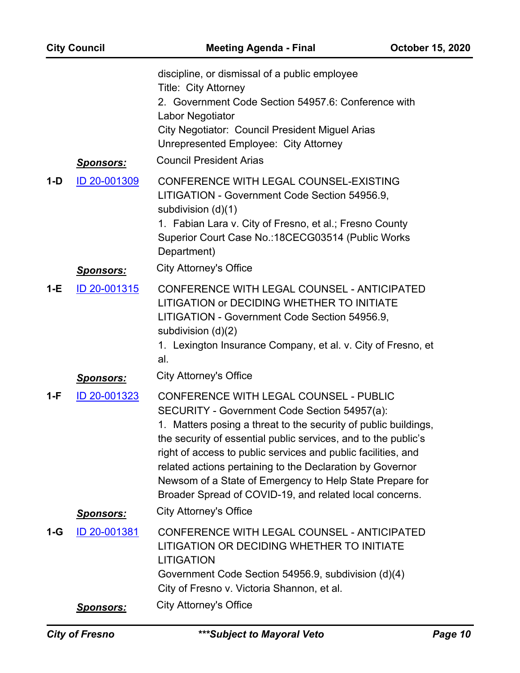|       | <b>City Council</b>                                  | <b>Meeting Agenda - Final</b>                                                                                                                                                                                                                                                                                                                                                                                                                                                                                            | <b>October 15, 2020</b> |
|-------|------------------------------------------------------|--------------------------------------------------------------------------------------------------------------------------------------------------------------------------------------------------------------------------------------------------------------------------------------------------------------------------------------------------------------------------------------------------------------------------------------------------------------------------------------------------------------------------|-------------------------|
|       | <u>Sponsors:</u>                                     | discipline, or dismissal of a public employee<br>Title: City Attorney<br>2. Government Code Section 54957.6: Conference with<br>Labor Negotiator<br>City Negotiator: Council President Miguel Arias<br>Unrepresented Employee: City Attorney<br><b>Council President Arias</b>                                                                                                                                                                                                                                           |                         |
| $1-D$ | ID 20-001309                                         | CONFERENCE WITH LEGAL COUNSEL-EXISTING<br>LITIGATION - Government Code Section 54956.9,<br>subdivision (d)(1)<br>1. Fabian Lara v. City of Fresno, et al.; Fresno County<br>Superior Court Case No.: 18CECG03514 (Public Works<br>Department)                                                                                                                                                                                                                                                                            |                         |
| $1-E$ | <b>Sponsors:</b><br>ID 20-001315                     | <b>City Attorney's Office</b><br>CONFERENCE WITH LEGAL COUNSEL - ANTICIPATED<br>LITIGATION or DECIDING WHETHER TO INITIATE<br>LITIGATION - Government Code Section 54956.9,<br>subdivision (d)(2)<br>1. Lexington Insurance Company, et al. v. City of Fresno, et<br>al.                                                                                                                                                                                                                                                 |                         |
| 1-F   | <u>Sponsors:</u><br>ID 20-001323                     | <b>City Attorney's Office</b><br><b>CONFERENCE WITH LEGAL COUNSEL - PUBLIC</b><br>SECURITY - Government Code Section 54957(a):<br>1. Matters posing a threat to the security of public buildings,<br>the security of essential public services, and to the public's<br>right of access to public services and public facilities, and<br>related actions pertaining to the Declaration by Governor<br>Newsom of a State of Emergency to Help State Prepare for<br>Broader Spread of COVID-19, and related local concerns. |                         |
| 1-G   | <u>Sponsors:</u><br>ID 20-001381<br><u>Sponsors:</u> | <b>City Attorney's Office</b><br>CONFERENCE WITH LEGAL COUNSEL - ANTICIPATED<br>LITIGATION OR DECIDING WHETHER TO INITIATE<br><b>LITIGATION</b><br>Government Code Section 54956.9, subdivision (d)(4)<br>City of Fresno v. Victoria Shannon, et al.<br><b>City Attorney's Office</b>                                                                                                                                                                                                                                    |                         |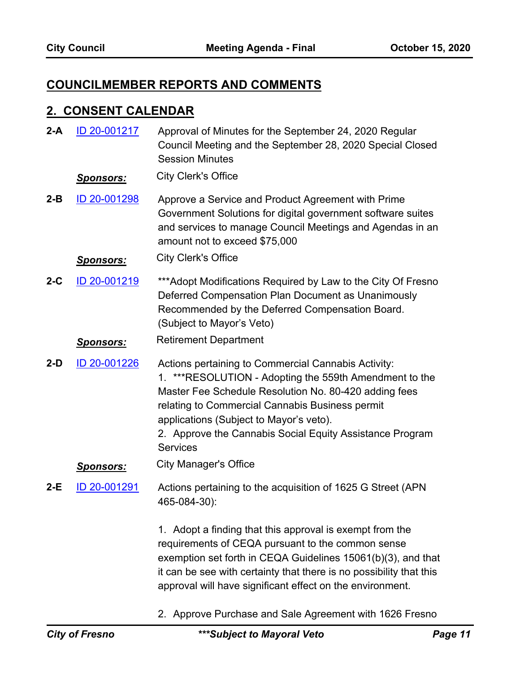# **COUNCILMEMBER REPORTS AND COMMENTS**

## **2. CONSENT CALENDAR**

| $2-A$   | ID 20-001217     | Approval of Minutes for the September 24, 2020 Regular<br>Council Meeting and the September 28, 2020 Special Closed<br><b>Session Minutes</b>                                                                                                                                                                                                       |
|---------|------------------|-----------------------------------------------------------------------------------------------------------------------------------------------------------------------------------------------------------------------------------------------------------------------------------------------------------------------------------------------------|
|         | <b>Sponsors:</b> | <b>City Clerk's Office</b>                                                                                                                                                                                                                                                                                                                          |
| $2 - B$ | ID 20-001298     | Approve a Service and Product Agreement with Prime<br>Government Solutions for digital government software suites<br>and services to manage Council Meetings and Agendas in an<br>amount not to exceed \$75,000                                                                                                                                     |
|         | <u>Sponsors:</u> | <b>City Clerk's Office</b>                                                                                                                                                                                                                                                                                                                          |
| $2-C$   | ID 20-001219     | *** Adopt Modifications Required by Law to the City Of Fresno<br>Deferred Compensation Plan Document as Unanimously<br>Recommended by the Deferred Compensation Board.<br>(Subject to Mayor's Veto)                                                                                                                                                 |
|         | <u>Sponsors:</u> | <b>Retirement Department</b>                                                                                                                                                                                                                                                                                                                        |
| $2-D$   | ID 20-001226     | Actions pertaining to Commercial Cannabis Activity:<br>1. ***RESOLUTION - Adopting the 559th Amendment to the<br>Master Fee Schedule Resolution No. 80-420 adding fees<br>relating to Commercial Cannabis Business permit<br>applications (Subject to Mayor's veto).<br>2. Approve the Cannabis Social Equity Assistance Program<br><b>Services</b> |
|         | <u>Sponsors:</u> | <b>City Manager's Office</b>                                                                                                                                                                                                                                                                                                                        |
| $2-E$   | ID 20-001291     | Actions pertaining to the acquisition of 1625 G Street (APN<br>465-084-30):                                                                                                                                                                                                                                                                         |
|         |                  | 1. Adopt a finding that this approval is exempt from the<br>requirements of CEQA pursuant to the common sense<br>exemption set forth in CEQA Guidelines 15061(b)(3), and that<br>it can be see with certainty that there is no possibility that this<br>approval will have significant effect on the environment.                                   |
|         |                  | 2. Approve Purchase and Sale Agreement with 1626 Fresno                                                                                                                                                                                                                                                                                             |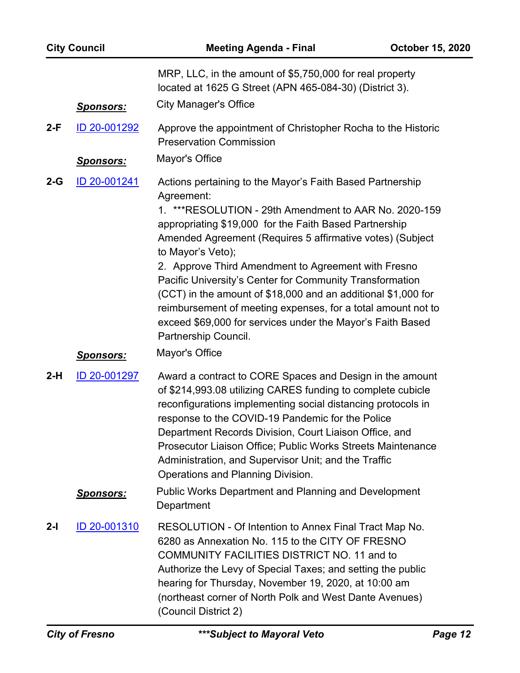| <b>City Council</b>                                      |                  | <b>Meeting Agenda - Final</b>                                                                                                                                                                                                                                                                                                                                                                                                                                     | <b>October 15, 2020</b> |
|----------------------------------------------------------|------------------|-------------------------------------------------------------------------------------------------------------------------------------------------------------------------------------------------------------------------------------------------------------------------------------------------------------------------------------------------------------------------------------------------------------------------------------------------------------------|-------------------------|
|                                                          |                  | MRP, LLC, in the amount of \$5,750,000 for real property<br>located at 1625 G Street (APN 465-084-30) (District 3).                                                                                                                                                                                                                                                                                                                                               |                         |
|                                                          | <b>Sponsors:</b> | <b>City Manager's Office</b>                                                                                                                                                                                                                                                                                                                                                                                                                                      |                         |
| $2-F$                                                    | ID 20-001292     | Approve the appointment of Christopher Rocha to the Historic<br><b>Preservation Commission</b>                                                                                                                                                                                                                                                                                                                                                                    |                         |
|                                                          | <b>Sponsors:</b> | Mayor's Office                                                                                                                                                                                                                                                                                                                                                                                                                                                    |                         |
| ID 20-001241<br>$2-G$<br>Agreement:<br>to Mayor's Veto); |                  | Actions pertaining to the Mayor's Faith Based Partnership<br>1. ***RESOLUTION - 29th Amendment to AAR No. 2020-159<br>appropriating \$19,000 for the Faith Based Partnership<br>Amended Agreement (Requires 5 affirmative votes) (Subject<br>2. Approve Third Amendment to Agreement with Fresno                                                                                                                                                                  |                         |
|                                                          |                  | Pacific University's Center for Community Transformation<br>(CCT) in the amount of \$18,000 and an additional \$1,000 for<br>reimbursement of meeting expenses, for a total amount not to<br>exceed \$69,000 for services under the Mayor's Faith Based<br>Partnership Council.                                                                                                                                                                                   |                         |
|                                                          | <u>Sponsors:</u> | Mayor's Office                                                                                                                                                                                                                                                                                                                                                                                                                                                    |                         |
| $2-H$                                                    | ID 20-001297     | Award a contract to CORE Spaces and Design in the amount<br>of \$214,993.08 utilizing CARES funding to complete cubicle<br>reconfigurations implementing social distancing protocols in<br>response to the COVID-19 Pandemic for the Police<br>Department Records Division, Court Liaison Office, and<br>Prosecutor Liaison Office; Public Works Streets Maintenance<br>Administration, and Supervisor Unit; and the Traffic<br>Operations and Planning Division. |                         |
|                                                          | <u>Sponsors:</u> | <b>Public Works Department and Planning and Development</b><br>Department                                                                                                                                                                                                                                                                                                                                                                                         |                         |
| $2-I$                                                    | ID 20-001310     | RESOLUTION - Of Intention to Annex Final Tract Map No.<br>6280 as Annexation No. 115 to the CITY OF FRESNO<br><b>COMMUNITY FACILITIES DISTRICT NO. 11 and to</b><br>Authorize the Levy of Special Taxes; and setting the public<br>hearing for Thursday, November 19, 2020, at 10:00 am<br>(northeast corner of North Polk and West Dante Avenues)<br>(Council District 2)                                                                                        |                         |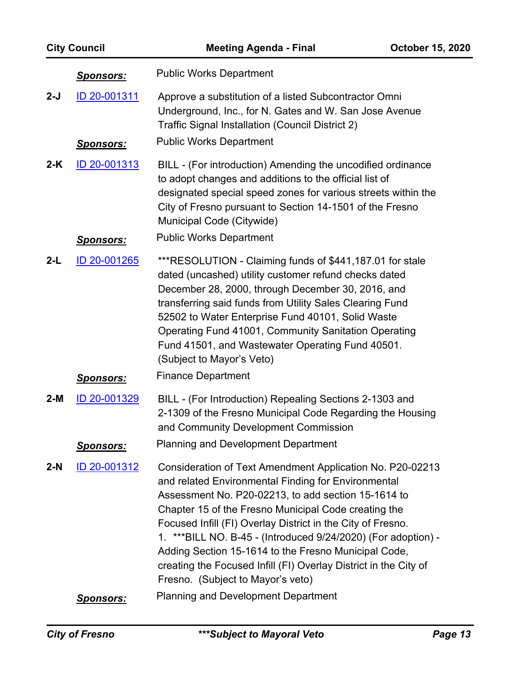|       | <b>City Council</b>                                                                                                                                                                 | <b>Meeting Agenda - Final</b>                                                                                                                                                                                                                                                                                                                                                                                                                                                                                                     | <b>October 15, 2020</b> |
|-------|-------------------------------------------------------------------------------------------------------------------------------------------------------------------------------------|-----------------------------------------------------------------------------------------------------------------------------------------------------------------------------------------------------------------------------------------------------------------------------------------------------------------------------------------------------------------------------------------------------------------------------------------------------------------------------------------------------------------------------------|-------------------------|
|       | <u>Sponsors:</u>                                                                                                                                                                    | <b>Public Works Department</b>                                                                                                                                                                                                                                                                                                                                                                                                                                                                                                    |                         |
| $2-J$ | ID 20-001311<br>Approve a substitution of a listed Subcontractor Omni<br>Underground, Inc., for N. Gates and W. San Jose Avenue<br>Traffic Signal Installation (Council District 2) |                                                                                                                                                                                                                                                                                                                                                                                                                                                                                                                                   |                         |
|       | <u>Sponsors:</u>                                                                                                                                                                    | <b>Public Works Department</b>                                                                                                                                                                                                                                                                                                                                                                                                                                                                                                    |                         |
| $2-K$ | ID 20-001313                                                                                                                                                                        | BILL - (For introduction) Amending the uncodified ordinance<br>to adopt changes and additions to the official list of<br>designated special speed zones for various streets within the<br>City of Fresno pursuant to Section 14-1501 of the Fresno<br>Municipal Code (Citywide)                                                                                                                                                                                                                                                   |                         |
|       | <u>Sponsors:</u>                                                                                                                                                                    | <b>Public Works Department</b>                                                                                                                                                                                                                                                                                                                                                                                                                                                                                                    |                         |
| 2-L   | ID 20-001265                                                                                                                                                                        | ***RESOLUTION - Claiming funds of \$441,187.01 for stale<br>dated (uncashed) utility customer refund checks dated<br>December 28, 2000, through December 30, 2016, and<br>transferring said funds from Utility Sales Clearing Fund<br>52502 to Water Enterprise Fund 40101, Solid Waste<br>Operating Fund 41001, Community Sanitation Operating<br>Fund 41501, and Wastewater Operating Fund 40501.<br>(Subject to Mayor's Veto)                                                                                                  |                         |
|       | <u>Sponsors:</u>                                                                                                                                                                    | <b>Finance Department</b>                                                                                                                                                                                                                                                                                                                                                                                                                                                                                                         |                         |
| $2-M$ | ID 20-001329                                                                                                                                                                        | BILL - (For Introduction) Repealing Sections 2-1303 and<br>2-1309 of the Fresno Municipal Code Regarding the Housing<br>and Community Development Commission<br><b>Planning and Development Department</b>                                                                                                                                                                                                                                                                                                                        |                         |
|       | <u>Sponsors:</u>                                                                                                                                                                    |                                                                                                                                                                                                                                                                                                                                                                                                                                                                                                                                   |                         |
| $2-N$ | <u>ID 20-001312</u>                                                                                                                                                                 | Consideration of Text Amendment Application No. P20-02213<br>and related Environmental Finding for Environmental<br>Assessment No. P20-02213, to add section 15-1614 to<br>Chapter 15 of the Fresno Municipal Code creating the<br>Focused Infill (FI) Overlay District in the City of Fresno.<br>1. *** BILL NO. B-45 - (Introduced 9/24/2020) (For adoption) -<br>Adding Section 15-1614 to the Fresno Municipal Code,<br>creating the Focused Infill (FI) Overlay District in the City of<br>Fresno. (Subject to Mayor's veto) |                         |
|       | <u>Sponsors:</u>                                                                                                                                                                    | <b>Planning and Development Department</b>                                                                                                                                                                                                                                                                                                                                                                                                                                                                                        |                         |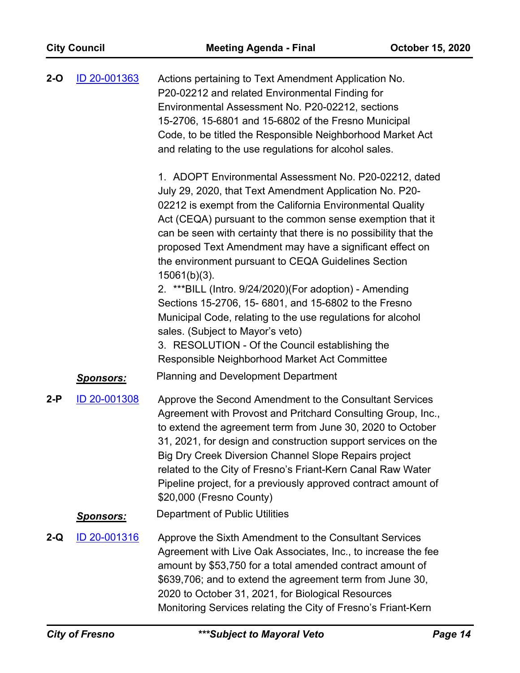| <b>City Council</b> |                     | <b>Meeting Agenda - Final</b>                                                                                                                                                                                                                                                                                                                                                                                                                                                                                                                                                                                                                                                                                                                                                     | <b>October 15, 2020</b> |
|---------------------|---------------------|-----------------------------------------------------------------------------------------------------------------------------------------------------------------------------------------------------------------------------------------------------------------------------------------------------------------------------------------------------------------------------------------------------------------------------------------------------------------------------------------------------------------------------------------------------------------------------------------------------------------------------------------------------------------------------------------------------------------------------------------------------------------------------------|-------------------------|
| $2-O$               | ID 20-001363        | Actions pertaining to Text Amendment Application No.<br>P20-02212 and related Environmental Finding for<br>Environmental Assessment No. P20-02212, sections<br>15-2706, 15-6801 and 15-6802 of the Fresno Municipal<br>Code, to be titled the Responsible Neighborhood Market Act<br>and relating to the use regulations for alcohol sales.                                                                                                                                                                                                                                                                                                                                                                                                                                       |                         |
|                     |                     | 1. ADOPT Environmental Assessment No. P20-02212, dated<br>July 29, 2020, that Text Amendment Application No. P20-<br>02212 is exempt from the California Environmental Quality<br>Act (CEQA) pursuant to the common sense exemption that it<br>can be seen with certainty that there is no possibility that the<br>proposed Text Amendment may have a significant effect on<br>the environment pursuant to CEQA Guidelines Section<br>$15061(b)(3)$ .<br>2. *** BILL (Intro. 9/24/2020) (For adoption) - Amending<br>Sections 15-2706, 15- 6801, and 15-6802 to the Fresno<br>Municipal Code, relating to the use regulations for alcohol<br>sales. (Subject to Mayor's veto)<br>3. RESOLUTION - Of the Council establishing the<br>Responsible Neighborhood Market Act Committee |                         |
|                     | <b>Sponsors:</b>    | <b>Planning and Development Department</b>                                                                                                                                                                                                                                                                                                                                                                                                                                                                                                                                                                                                                                                                                                                                        |                         |
| $2-P$               | ID 20-001308        | Approve the Second Amendment to the Consultant Services<br>Agreement with Provost and Pritchard Consulting Group, Inc.,<br>to extend the agreement term from June 30, 2020 to October<br>31, 2021, for design and construction support services on the<br>Big Dry Creek Diversion Channel Slope Repairs project<br>related to the City of Fresno's Friant-Kern Canal Raw Water<br>Pipeline project, for a previously approved contract amount of<br>\$20,000 (Fresno County)                                                                                                                                                                                                                                                                                                      |                         |
|                     | <u>Sponsors:</u>    | Department of Public Utilities                                                                                                                                                                                                                                                                                                                                                                                                                                                                                                                                                                                                                                                                                                                                                    |                         |
| $2-Q$               | <u>ID 20-001316</u> | Approve the Sixth Amendment to the Consultant Services<br>Agreement with Live Oak Associates, Inc., to increase the fee<br>amount by \$53,750 for a total amended contract amount of<br>\$639,706; and to extend the agreement term from June 30,<br>2020 to October 31, 2021, for Biological Resources<br>Monitoring Services relating the City of Fresno's Friant-Kern                                                                                                                                                                                                                                                                                                                                                                                                          |                         |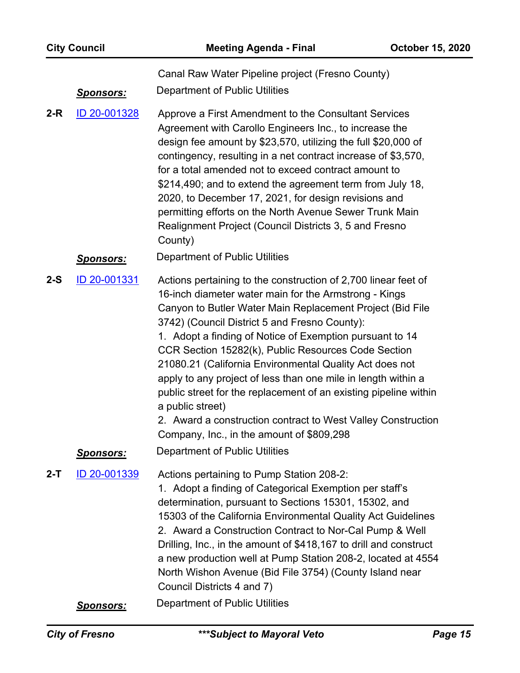|         | <b>City Council</b> | <b>Meeting Agenda - Final</b>                                                                                                                                                                                                                                                                                                                                                                                                                                                                                                                                                                                                                                                             | October 15, 2020 |
|---------|---------------------|-------------------------------------------------------------------------------------------------------------------------------------------------------------------------------------------------------------------------------------------------------------------------------------------------------------------------------------------------------------------------------------------------------------------------------------------------------------------------------------------------------------------------------------------------------------------------------------------------------------------------------------------------------------------------------------------|------------------|
|         | <u>Sponsors:</u>    | Canal Raw Water Pipeline project (Fresno County)<br><b>Department of Public Utilities</b>                                                                                                                                                                                                                                                                                                                                                                                                                                                                                                                                                                                                 |                  |
| $2-R$   | ID 20-001328        | Approve a First Amendment to the Consultant Services<br>Agreement with Carollo Engineers Inc., to increase the<br>design fee amount by \$23,570, utilizing the full \$20,000 of<br>contingency, resulting in a net contract increase of \$3,570,<br>for a total amended not to exceed contract amount to<br>\$214,490; and to extend the agreement term from July 18,<br>2020, to December 17, 2021, for design revisions and<br>permitting efforts on the North Avenue Sewer Trunk Main<br>Realignment Project (Council Districts 3, 5 and Fresno<br>County)                                                                                                                             |                  |
|         | <b>Sponsors:</b>    | Department of Public Utilities                                                                                                                                                                                                                                                                                                                                                                                                                                                                                                                                                                                                                                                            |                  |
| $2-S$   | ID 20-001331        | Actions pertaining to the construction of 2,700 linear feet of<br>16-inch diameter water main for the Armstrong - Kings<br>Canyon to Butler Water Main Replacement Project (Bid File<br>3742) (Council District 5 and Fresno County):<br>1. Adopt a finding of Notice of Exemption pursuant to 14<br>CCR Section 15282(k), Public Resources Code Section<br>21080.21 (California Environmental Quality Act does not<br>apply to any project of less than one mile in length within a<br>public street for the replacement of an existing pipeline within<br>a public street)<br>2. Award a construction contract to West Valley Construction<br>Company, Inc., in the amount of \$809,298 |                  |
|         | <u>Sponsors:</u>    | Department of Public Utilities                                                                                                                                                                                                                                                                                                                                                                                                                                                                                                                                                                                                                                                            |                  |
| $2 - T$ | ID 20-001339        | Actions pertaining to Pump Station 208-2:<br>1. Adopt a finding of Categorical Exemption per staff's<br>determination, pursuant to Sections 15301, 15302, and<br>15303 of the California Environmental Quality Act Guidelines<br>2. Award a Construction Contract to Nor-Cal Pump & Well<br>Drilling, Inc., in the amount of \$418,167 to drill and construct<br>a new production well at Pump Station 208-2, located at 4554<br>North Wishon Avenue (Bid File 3754) (County Island near<br>Council Districts 4 and 7)                                                                                                                                                                    |                  |
|         | <b>Sponsors:</b>    | Department of Public Utilities                                                                                                                                                                                                                                                                                                                                                                                                                                                                                                                                                                                                                                                            |                  |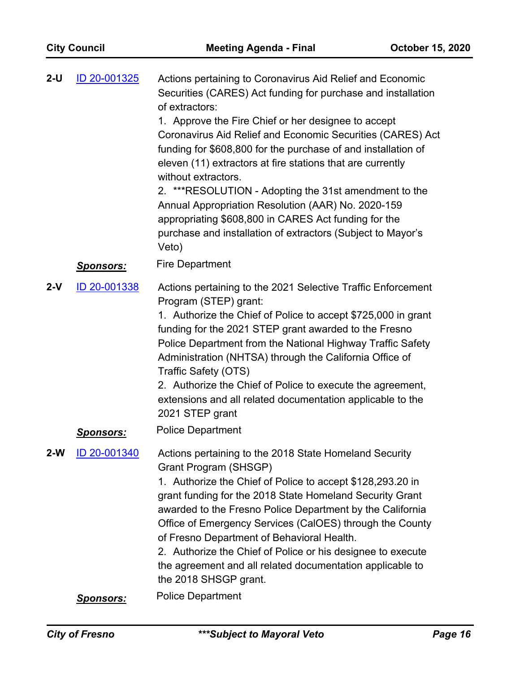| ID 20-001325<br>$2-U$ |                  | Actions pertaining to Coronavirus Aid Relief and Economic<br>Securities (CARES) Act funding for purchase and installation<br>of extractors:                                                                                                                                                   |
|-----------------------|------------------|-----------------------------------------------------------------------------------------------------------------------------------------------------------------------------------------------------------------------------------------------------------------------------------------------|
|                       |                  | 1. Approve the Fire Chief or her designee to accept<br>Coronavirus Aid Relief and Economic Securities (CARES) Act<br>funding for \$608,800 for the purchase of and installation of<br>eleven (11) extractors at fire stations that are currently<br>without extractors.                       |
|                       |                  | 2. ***RESOLUTION - Adopting the 31st amendment to the<br>Annual Appropriation Resolution (AAR) No. 2020-159<br>appropriating \$608,800 in CARES Act funding for the<br>purchase and installation of extractors (Subject to Mayor's<br>Veto)                                                   |
|                       | <u>Sponsors:</u> | <b>Fire Department</b>                                                                                                                                                                                                                                                                        |
| $2-V$                 | ID 20-001338     | Actions pertaining to the 2021 Selective Traffic Enforcement<br>Program (STEP) grant:<br>1. Authorize the Chief of Police to accept \$725,000 in grant<br>funding for the 2021 STEP grant awarded to the Fresno                                                                               |
|                       |                  | Police Department from the National Highway Traffic Safety<br>Administration (NHTSA) through the California Office of<br>Traffic Safety (OTS)                                                                                                                                                 |
|                       |                  | 2. Authorize the Chief of Police to execute the agreement,<br>extensions and all related documentation applicable to the<br>2021 STEP grant                                                                                                                                                   |
|                       | <b>Sponsors:</b> | <b>Police Department</b>                                                                                                                                                                                                                                                                      |
| 2-W                   | ID 20-001340     | Actions pertaining to the 2018 State Homeland Security<br>Grant Program (SHSGP)                                                                                                                                                                                                               |
|                       |                  | 1. Authorize the Chief of Police to accept \$128,293.20 in<br>grant funding for the 2018 State Homeland Security Grant<br>awarded to the Fresno Police Department by the California<br>Office of Emergency Services (CalOES) through the County<br>of Fresno Department of Behavioral Health. |
|                       |                  | 2. Authorize the Chief of Police or his designee to execute<br>the agreement and all related documentation applicable to<br>the 2018 SHSGP grant.                                                                                                                                             |
|                       | <u>Sponsors:</u> | <b>Police Department</b>                                                                                                                                                                                                                                                                      |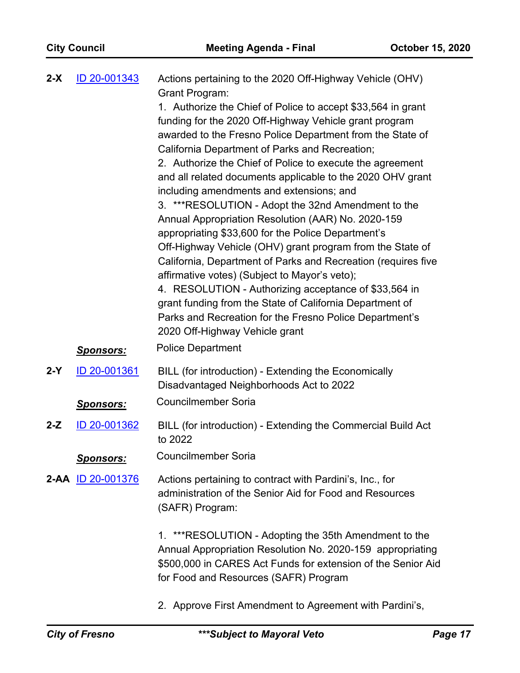| $2-X$ | ID 20-001343      | Actions pertaining to the 2020 Off-Highway Vehicle (OHV)                                                                                                                                                                                                                                                                                                                                                                                                                                                                                                                                                                                                                                                                                                                                                                                                                                                    |
|-------|-------------------|-------------------------------------------------------------------------------------------------------------------------------------------------------------------------------------------------------------------------------------------------------------------------------------------------------------------------------------------------------------------------------------------------------------------------------------------------------------------------------------------------------------------------------------------------------------------------------------------------------------------------------------------------------------------------------------------------------------------------------------------------------------------------------------------------------------------------------------------------------------------------------------------------------------|
|       |                   | <b>Grant Program:</b><br>1. Authorize the Chief of Police to accept \$33,564 in grant<br>funding for the 2020 Off-Highway Vehicle grant program<br>awarded to the Fresno Police Department from the State of<br>California Department of Parks and Recreation;<br>2. Authorize the Chief of Police to execute the agreement<br>and all related documents applicable to the 2020 OHV grant<br>including amendments and extensions; and<br>3. ***RESOLUTION - Adopt the 32nd Amendment to the<br>Annual Appropriation Resolution (AAR) No. 2020-159<br>appropriating \$33,600 for the Police Department's<br>Off-Highway Vehicle (OHV) grant program from the State of<br>California, Department of Parks and Recreation (requires five<br>affirmative votes) (Subject to Mayor's veto);<br>4. RESOLUTION - Authorizing acceptance of \$33,564 in<br>grant funding from the State of California Department of |
|       |                   | Parks and Recreation for the Fresno Police Department's<br>2020 Off-Highway Vehicle grant                                                                                                                                                                                                                                                                                                                                                                                                                                                                                                                                                                                                                                                                                                                                                                                                                   |
|       | <u>Sponsors:</u>  | <b>Police Department</b>                                                                                                                                                                                                                                                                                                                                                                                                                                                                                                                                                                                                                                                                                                                                                                                                                                                                                    |
| $2-Y$ | ID 20-001361      | BILL (for introduction) - Extending the Economically<br>Disadvantaged Neighborhoods Act to 2022                                                                                                                                                                                                                                                                                                                                                                                                                                                                                                                                                                                                                                                                                                                                                                                                             |
|       | <u>Sponsors:</u>  | <b>Councilmember Soria</b>                                                                                                                                                                                                                                                                                                                                                                                                                                                                                                                                                                                                                                                                                                                                                                                                                                                                                  |
| $2-Z$ | ID 20-001362      | BILL (for introduction) - Extending the Commercial Build Act<br>to 2022                                                                                                                                                                                                                                                                                                                                                                                                                                                                                                                                                                                                                                                                                                                                                                                                                                     |
|       | <u> Sponsors:</u> | Councilmember Soria                                                                                                                                                                                                                                                                                                                                                                                                                                                                                                                                                                                                                                                                                                                                                                                                                                                                                         |
|       | 2-AA ID 20-001376 | Actions pertaining to contract with Pardini's, Inc., for<br>administration of the Senior Aid for Food and Resources<br>(SAFR) Program:                                                                                                                                                                                                                                                                                                                                                                                                                                                                                                                                                                                                                                                                                                                                                                      |
|       |                   | 1. ***RESOLUTION - Adopting the 35th Amendment to the<br>Annual Appropriation Resolution No. 2020-159 appropriating<br>\$500,000 in CARES Act Funds for extension of the Senior Aid<br>for Food and Resources (SAFR) Program                                                                                                                                                                                                                                                                                                                                                                                                                                                                                                                                                                                                                                                                                |
|       |                   | 2. Approve First Amendment to Agreement with Pardini's,                                                                                                                                                                                                                                                                                                                                                                                                                                                                                                                                                                                                                                                                                                                                                                                                                                                     |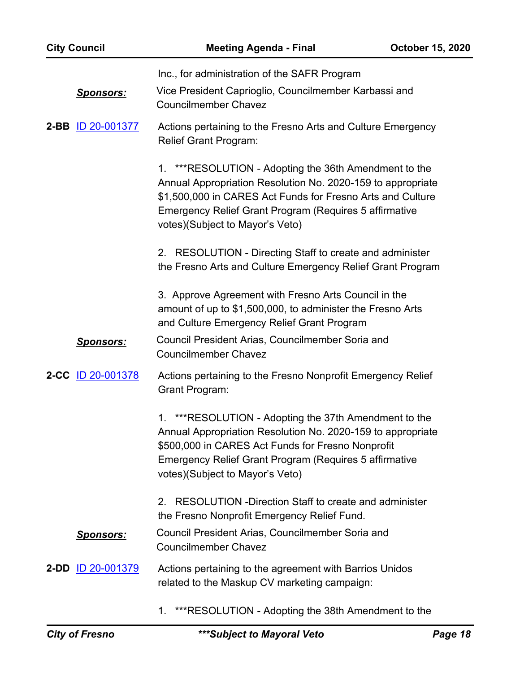| <b>City Council</b>      | <b>Meeting Agenda - Final</b>                                                                                                                                                                                                                                                    | <b>October 15, 2020</b> |
|--------------------------|----------------------------------------------------------------------------------------------------------------------------------------------------------------------------------------------------------------------------------------------------------------------------------|-------------------------|
| <u>Sponsors:</u>         | Inc., for administration of the SAFR Program<br>Vice President Caprioglio, Councilmember Karbassi and<br><b>Councilmember Chavez</b>                                                                                                                                             |                         |
| 2-BB ID 20-001377        | Actions pertaining to the Fresno Arts and Culture Emergency<br><b>Relief Grant Program:</b>                                                                                                                                                                                      |                         |
|                          | 1. *** RESOLUTION - Adopting the 36th Amendment to the<br>Annual Appropriation Resolution No. 2020-159 to appropriate<br>\$1,500,000 in CARES Act Funds for Fresno Arts and Culture<br>Emergency Relief Grant Program (Requires 5 affirmative<br>votes)(Subject to Mayor's Veto) |                         |
|                          | RESOLUTION - Directing Staff to create and administer<br>2.<br>the Fresno Arts and Culture Emergency Relief Grant Program                                                                                                                                                        |                         |
|                          | 3. Approve Agreement with Fresno Arts Council in the<br>amount of up to \$1,500,000, to administer the Fresno Arts<br>and Culture Emergency Relief Grant Program                                                                                                                 |                         |
| <u>Sponsors:</u>         | Council President Arias, Councilmember Soria and<br><b>Councilmember Chavez</b>                                                                                                                                                                                                  |                         |
| 2-CC ID 20-001378        | Actions pertaining to the Fresno Nonprofit Emergency Relief<br><b>Grant Program:</b>                                                                                                                                                                                             |                         |
|                          | ***RESOLUTION - Adopting the 37th Amendment to the<br>1.<br>Annual Appropriation Resolution No. 2020-159 to appropriate<br>\$500,000 in CARES Act Funds for Fresno Nonprofit<br><b>Emergency Relief Grant Program (Requires 5 affirmative</b><br>votes)(Subject to Mayor's Veto) |                         |
|                          | RESOLUTION - Direction Staff to create and administer<br>2.<br>the Fresno Nonprofit Emergency Relief Fund.                                                                                                                                                                       |                         |
| <u>Sponsors:</u>         | Council President Arias, Councilmember Soria and<br><b>Councilmember Chavez</b>                                                                                                                                                                                                  |                         |
| 2-DD <u>ID 20-001379</u> | Actions pertaining to the agreement with Barrios Unidos<br>related to the Maskup CV marketing campaign:                                                                                                                                                                          |                         |
|                          |                                                                                                                                                                                                                                                                                  |                         |

1. \*\*\*RESOLUTION - Adopting the 38th Amendment to the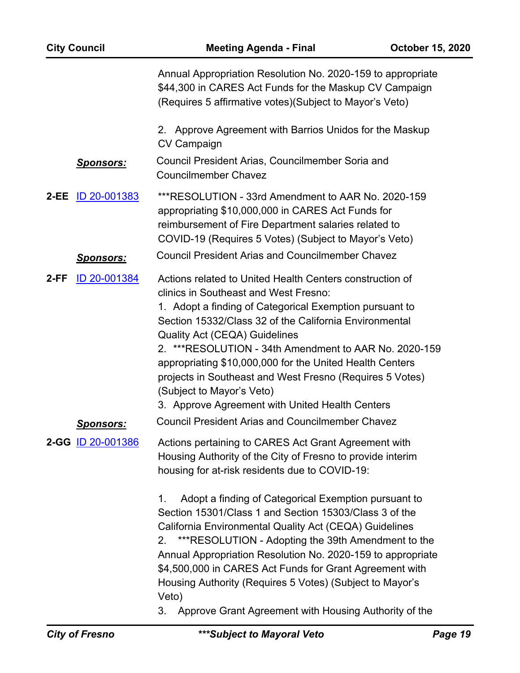| <b>City Council</b> |                                  | <b>Meeting Agenda - Final</b>                                                                                                                                                                                                                                                                                                                                                                                                                                                                                                                                                                                                                                                    | <b>October 15, 2020</b> |
|---------------------|----------------------------------|----------------------------------------------------------------------------------------------------------------------------------------------------------------------------------------------------------------------------------------------------------------------------------------------------------------------------------------------------------------------------------------------------------------------------------------------------------------------------------------------------------------------------------------------------------------------------------------------------------------------------------------------------------------------------------|-------------------------|
|                     |                                  | Annual Appropriation Resolution No. 2020-159 to appropriate<br>\$44,300 in CARES Act Funds for the Maskup CV Campaign<br>(Requires 5 affirmative votes) (Subject to Mayor's Veto)                                                                                                                                                                                                                                                                                                                                                                                                                                                                                                |                         |
|                     |                                  | 2. Approve Agreement with Barrios Unidos for the Maskup<br><b>CV Campaign</b>                                                                                                                                                                                                                                                                                                                                                                                                                                                                                                                                                                                                    |                         |
|                     | <u>Sponsors:</u>                 | Council President Arias, Councilmember Soria and<br><b>Councilmember Chavez</b>                                                                                                                                                                                                                                                                                                                                                                                                                                                                                                                                                                                                  |                         |
| $2-EE$              | ID 20-001383                     | ***RESOLUTION - 33rd Amendment to AAR No. 2020-159<br>appropriating \$10,000,000 in CARES Act Funds for<br>reimbursement of Fire Department salaries related to<br>COVID-19 (Requires 5 Votes) (Subject to Mayor's Veto)                                                                                                                                                                                                                                                                                                                                                                                                                                                         |                         |
|                     | <u>Sponsors:</u>                 | <b>Council President Arias and Councilmember Chavez</b>                                                                                                                                                                                                                                                                                                                                                                                                                                                                                                                                                                                                                          |                         |
| $2-FF$              | ID 20-001384<br><u>Sponsors:</u> | Actions related to United Health Centers construction of<br>clinics in Southeast and West Fresno:<br>1. Adopt a finding of Categorical Exemption pursuant to<br>Section 15332/Class 32 of the California Environmental<br><b>Quality Act (CEQA) Guidelines</b><br>2. *** RESOLUTION - 34th Amendment to AAR No. 2020-159<br>appropriating \$10,000,000 for the United Health Centers<br>projects in Southeast and West Fresno (Requires 5 Votes)<br>(Subject to Mayor's Veto)<br>3. Approve Agreement with United Health Centers<br><b>Council President Arias and Councilmember Chavez</b>                                                                                      |                         |
|                     | 2-GG ID 20-001386                | Actions pertaining to CARES Act Grant Agreement with<br>Housing Authority of the City of Fresno to provide interim<br>housing for at-risk residents due to COVID-19:<br>1.<br>Adopt a finding of Categorical Exemption pursuant to<br>Section 15301/Class 1 and Section 15303/Class 3 of the<br>California Environmental Quality Act (CEQA) Guidelines<br>***RESOLUTION - Adopting the 39th Amendment to the<br>2.<br>Annual Appropriation Resolution No. 2020-159 to appropriate<br>\$4,500,000 in CARES Act Funds for Grant Agreement with<br>Housing Authority (Requires 5 Votes) (Subject to Mayor's<br>Veto)<br>Approve Grant Agreement with Housing Authority of the<br>3. |                         |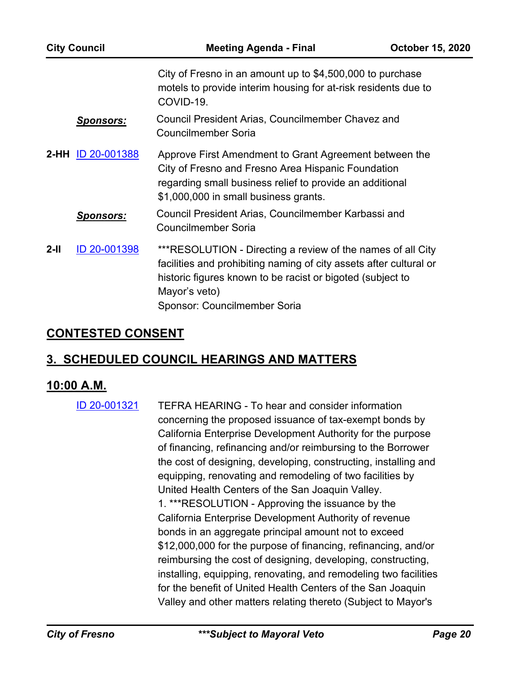| <b>City Council</b> |                   | <b>Meeting Agenda - Final</b>                                                                                                                                                                                                                    | <b>October 15, 2020</b> |
|---------------------|-------------------|--------------------------------------------------------------------------------------------------------------------------------------------------------------------------------------------------------------------------------------------------|-------------------------|
|                     |                   | City of Fresno in an amount up to \$4,500,000 to purchase<br>motels to provide interim housing for at-risk residents due to<br>COVID-19.                                                                                                         |                         |
|                     | <b>Sponsors:</b>  | Council President Arias, Councilmember Chavez and<br><b>Councilmember Soria</b>                                                                                                                                                                  |                         |
|                     | 2-HH ID 20-001388 | Approve First Amendment to Grant Agreement between the<br>City of Fresno and Fresno Area Hispanic Foundation<br>regarding small business relief to provide an additional<br>\$1,000,000 in small business grants.                                |                         |
|                     | <b>Sponsors:</b>  | Council President Arias, Councilmember Karbassi and<br>Councilmember Soria                                                                                                                                                                       |                         |
| $2-II$              | ID 20-001398      | ***RESOLUTION - Directing a review of the names of all City<br>facilities and prohibiting naming of city assets after cultural or<br>historic figures known to be racist or bigoted (subject to<br>Mayor's veto)<br>Sponsor: Councilmember Soria |                         |

# **CONTESTED CONSENT**

# **3. SCHEDULED COUNCIL HEARINGS AND MATTERS**

## **10:00 A.M.**

TEFRA HEARING - To hear and consider information concerning the proposed issuance of tax-exempt bonds by California Enterprise Development Authority for the purpose of financing, refinancing and/or reimbursing to the Borrower the cost of designing, developing, constructing, installing and equipping, renovating and remodeling of two facilities by United Health Centers of the San Joaquin Valley. 1. \*\*\*RESOLUTION - Approving the issuance by the California Enterprise Development Authority of revenue bonds in an aggregate principal amount not to exceed \$12,000,000 for the purpose of financing, refinancing, and/or reimbursing the cost of designing, developing, constructing, installing, equipping, renovating, and remodeling two facilities for the benefit of United Health Centers of the San Joaquin Valley and other matters relating thereto (Subject to Mayor's [ID 20-001321](http://fresno.legistar.com/gateway.aspx?m=l&id=/matter.aspx?key=12100)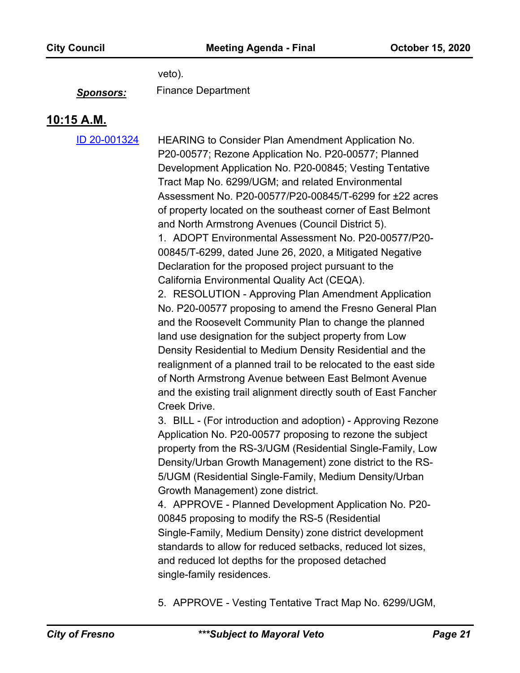veto).

*Sponsors:* Finance Department

### **10:15 A.M.**

[ID 20-001324](http://fresno.legistar.com/gateway.aspx?m=l&id=/matter.aspx?key=12103)

HEARING to Consider Plan Amendment Application No. P20-00577; Rezone Application No. P20-00577; Planned Development Application No. P20-00845; Vesting Tentative Tract Map No. 6299/UGM; and related Environmental Assessment No. P20-00577/P20-00845/T-6299 for ±22 acres of property located on the southeast corner of East Belmont and North Armstrong Avenues (Council District 5). 1. ADOPT Environmental Assessment No. P20-00577/P20-

00845/T-6299, dated June 26, 2020, a Mitigated Negative Declaration for the proposed project pursuant to the California Environmental Quality Act (CEQA).

2. RESOLUTION - Approving Plan Amendment Application No. P20-00577 proposing to amend the Fresno General Plan and the Roosevelt Community Plan to change the planned land use designation for the subject property from Low Density Residential to Medium Density Residential and the realignment of a planned trail to be relocated to the east side of North Armstrong Avenue between East Belmont Avenue and the existing trail alignment directly south of East Fancher Creek Drive.

3. BILL - (For introduction and adoption) - Approving Rezone Application No. P20-00577 proposing to rezone the subject property from the RS-3/UGM (Residential Single-Family, Low Density/Urban Growth Management) zone district to the RS-5/UGM (Residential Single-Family, Medium Density/Urban Growth Management) zone district.

4. APPROVE - Planned Development Application No. P20- 00845 proposing to modify the RS-5 (Residential Single-Family, Medium Density) zone district development standards to allow for reduced setbacks, reduced lot sizes, and reduced lot depths for the proposed detached single-family residences.

5. APPROVE - Vesting Tentative Tract Map No. 6299/UGM,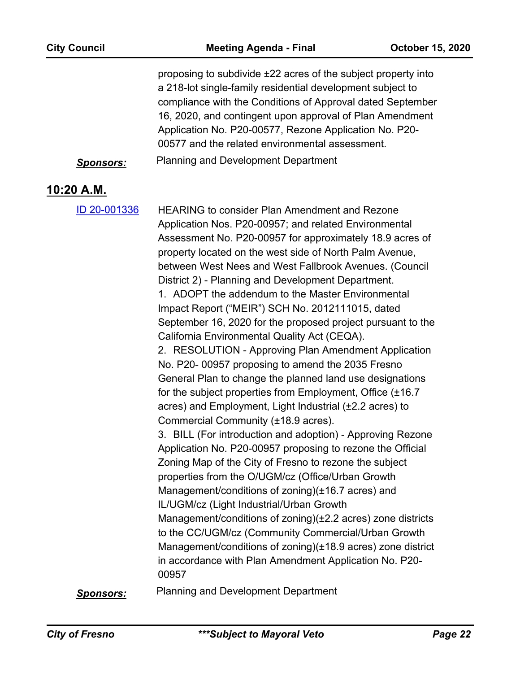|                   | <u>Sponsors:</u> | proposing to subdivide ±22 acres of the subject property into<br>a 218-lot single-family residential development subject to<br>compliance with the Conditions of Approval dated September<br>16, 2020, and contingent upon approval of Plan Amendment<br>Application No. P20-00577, Rezone Application No. P20-<br>00577 and the related environmental assessment.<br>Planning and Development Department                                                                                                                                                                                                                                                                                                                                                                                                                                                                                                                                                                                                                                                                                                                                                                                                                                                                                                                                                                                                                                                                                                                |
|-------------------|------------------|--------------------------------------------------------------------------------------------------------------------------------------------------------------------------------------------------------------------------------------------------------------------------------------------------------------------------------------------------------------------------------------------------------------------------------------------------------------------------------------------------------------------------------------------------------------------------------------------------------------------------------------------------------------------------------------------------------------------------------------------------------------------------------------------------------------------------------------------------------------------------------------------------------------------------------------------------------------------------------------------------------------------------------------------------------------------------------------------------------------------------------------------------------------------------------------------------------------------------------------------------------------------------------------------------------------------------------------------------------------------------------------------------------------------------------------------------------------------------------------------------------------------------|
| <u>10:20 A.M.</u> |                  |                                                                                                                                                                                                                                                                                                                                                                                                                                                                                                                                                                                                                                                                                                                                                                                                                                                                                                                                                                                                                                                                                                                                                                                                                                                                                                                                                                                                                                                                                                                          |
|                   | ID 20-001336     | <b>HEARING to consider Plan Amendment and Rezone</b><br>Application Nos. P20-00957; and related Environmental<br>Assessment No. P20-00957 for approximately 18.9 acres of<br>property located on the west side of North Palm Avenue,<br>between West Nees and West Fallbrook Avenues. (Council<br>District 2) - Planning and Development Department.<br>1. ADOPT the addendum to the Master Environmental<br>Impact Report ("MEIR") SCH No. 2012111015, dated<br>September 16, 2020 for the proposed project pursuant to the<br>California Environmental Quality Act (CEQA).<br>2. RESOLUTION - Approving Plan Amendment Application<br>No. P20-00957 proposing to amend the 2035 Fresno<br>General Plan to change the planned land use designations<br>for the subject properties from Employment, Office (±16.7)<br>acres) and Employment, Light Industrial (±2.2 acres) to<br>Commercial Community (±18.9 acres).<br>3. BILL (For introduction and adoption) - Approving Rezone<br>Application No. P20-00957 proposing to rezone the Official<br>Zoning Map of the City of Fresno to rezone the subject<br>properties from the O/UGM/cz (Office/Urban Growth<br>Management/conditions of zoning)(±16.7 acres) and<br>IL/UGM/cz (Light Industrial/Urban Growth<br>Management/conditions of zoning)(±2.2 acres) zone districts<br>to the CC/UGM/cz (Community Commercial/Urban Growth<br>Management/conditions of zoning)(±18.9 acres) zone district<br>in accordance with Plan Amendment Application No. P20-<br>00957 |
|                   | <u>Sponsors:</u> | <b>Planning and Development Department</b>                                                                                                                                                                                                                                                                                                                                                                                                                                                                                                                                                                                                                                                                                                                                                                                                                                                                                                                                                                                                                                                                                                                                                                                                                                                                                                                                                                                                                                                                               |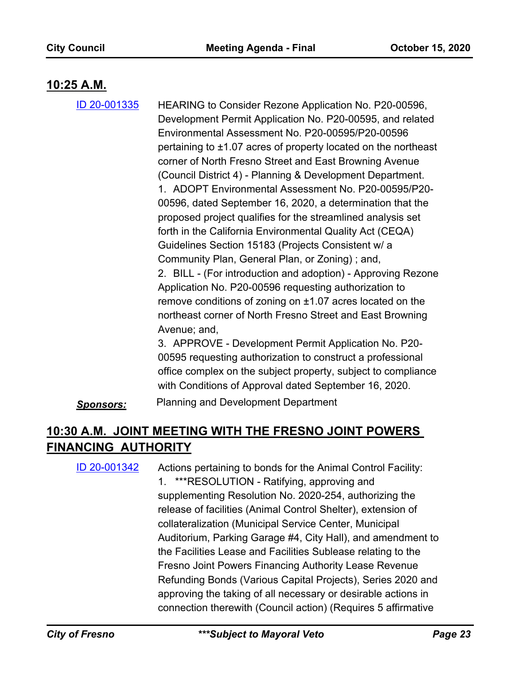## **10:25 A.M.**

HEARING to Consider Rezone Application No. P20-00596, Development Permit Application No. P20-00595, and related Environmental Assessment No. P20-00595/P20-00596 pertaining to ±1.07 acres of property located on the northeast corner of North Fresno Street and East Browning Avenue (Council District 4) - Planning & Development Department. 1. ADOPT Environmental Assessment No. P20-00595/P20- 00596, dated September 16, 2020, a determination that the proposed project qualifies for the streamlined analysis set forth in the California Environmental Quality Act (CEQA) Guidelines Section 15183 (Projects Consistent w/ a Community Plan, General Plan, or Zoning) ; and, 2. BILL - (For introduction and adoption) - Approving Rezone Application No. P20-00596 requesting authorization to remove conditions of zoning on ±1.07 acres located on the northeast corner of North Fresno Street and East Browning Avenue; and, 3. APPROVE - Development Permit Application No. P20- [ID 20-001335](http://fresno.legistar.com/gateway.aspx?m=l&id=/matter.aspx?key=12114)

00595 requesting authorization to construct a professional office complex on the subject property, subject to compliance with Conditions of Approval dated September 16, 2020.

*Sponsors:* Planning and Development Department

# **10:30 A.M. JOINT MEETING WITH THE FRESNO JOINT POWERS FINANCING AUTHORITY**

Actions pertaining to bonds for the Animal Control Facility: 1. \*\*\*RESOLUTION - Ratifying, approving and supplementing Resolution No. 2020-254, authorizing the release of facilities (Animal Control Shelter), extension of collateralization (Municipal Service Center, Municipal Auditorium, Parking Garage #4, City Hall), and amendment to the Facilities Lease and Facilities Sublease relating to the Fresno Joint Powers Financing Authority Lease Revenue Refunding Bonds (Various Capital Projects), Series 2020 and approving the taking of all necessary or desirable actions in connection therewith (Council action) (Requires 5 affirmative [ID 20-001342](http://fresno.legistar.com/gateway.aspx?m=l&id=/matter.aspx?key=12121)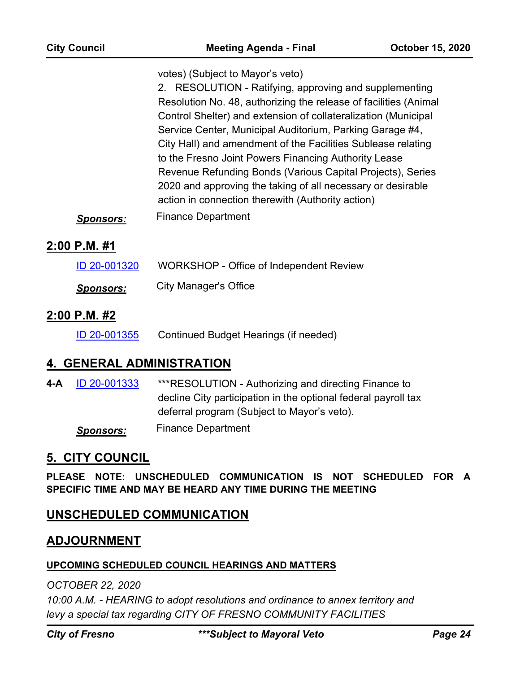votes) (Subject to Mayor's veto)

2. RESOLUTION - Ratifying, approving and supplementing Resolution No. 48, authorizing the release of facilities (Animal Control Shelter) and extension of collateralization (Municipal Service Center, Municipal Auditorium, Parking Garage #4, City Hall) and amendment of the Facilities Sublease relating to the Fresno Joint Powers Financing Authority Lease Revenue Refunding Bonds (Various Capital Projects), Series 2020 and approving the taking of all necessary or desirable action in connection therewith (Authority action)

*Sponsors:* Finance Department

### **2:00 P.M. #1**

| ID 20-001320     | WORKSHOP - Office of Independent Review |
|------------------|-----------------------------------------|
| <b>Sponsors:</b> | <b>City Manager's Office</b>            |

### **2:00 P.M. #2**

[ID 20-001355](http://fresno.legistar.com/gateway.aspx?m=l&id=/matter.aspx?key=12134) Continued Budget Hearings (if needed)

### **4. GENERAL ADMINISTRATION**

\*\*\*RESOLUTION - Authorizing and directing Finance to decline City participation in the optional federal payroll tax deferral program (Subject to Mayor's veto). **4-A** [ID 20-001333](http://fresno.legistar.com/gateway.aspx?m=l&id=/matter.aspx?key=12112) *Sponsors:* Finance Department

# **5. CITY COUNCIL**

**PLEASE NOTE: UNSCHEDULED COMMUNICATION IS NOT SCHEDULED FOR A SPECIFIC TIME AND MAY BE HEARD ANY TIME DURING THE MEETING**

### **UNSCHEDULED COMMUNICATION**

### **ADJOURNMENT**

#### **UPCOMING SCHEDULED COUNCIL HEARINGS AND MATTERS**

*OCTOBER 22, 2020*

*10:00 A.M. - HEARING to adopt resolutions and ordinance to annex territory and levy a special tax regarding CITY OF FRESNO COMMUNITY FACILITIES*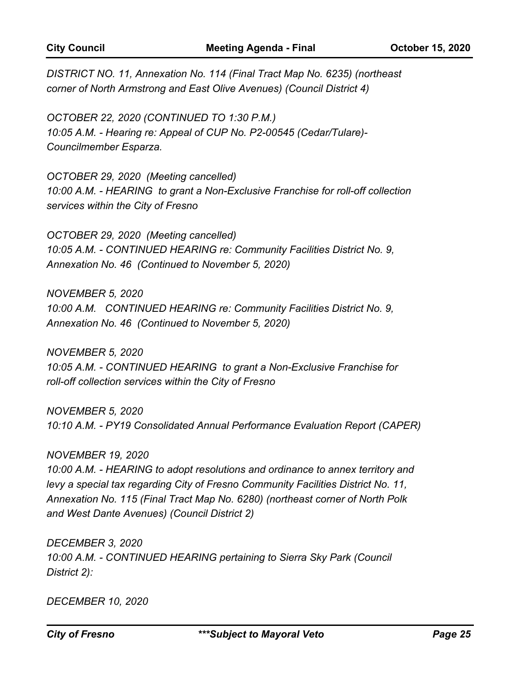*DISTRICT NO. 11, Annexation No. 114 (Final Tract Map No. 6235) (northeast corner of North Armstrong and East Olive Avenues) (Council District 4)*

*OCTOBER 22, 2020 (CONTINUED TO 1:30 P.M.) 10:05 A.M. - Hearing re: Appeal of CUP No. P2-00545 (Cedar/Tulare)- Councilmember Esparza.*

*OCTOBER 29, 2020 (Meeting cancelled) 10:00 A.M. - HEARING to grant a Non-Exclusive Franchise for roll-off collection services within the City of Fresno*

*OCTOBER 29, 2020 (Meeting cancelled) 10:05 A.M. - CONTINUED HEARING re: Community Facilities District No. 9, Annexation No. 46 (Continued to November 5, 2020)*

*NOVEMBER 5, 2020 10:00 A.M. CONTINUED HEARING re: Community Facilities District No. 9, Annexation No. 46 (Continued to November 5, 2020)*

*NOVEMBER 5, 2020 10:05 A.M. - CONTINUED HEARING to grant a Non-Exclusive Franchise for roll-off collection services within the City of Fresno*

*NOVEMBER 5, 2020 10:10 A.M. - PY19 Consolidated Annual Performance Evaluation Report (CAPER)*

*NOVEMBER 19, 2020*

*10:00 A.M. - HEARING to adopt resolutions and ordinance to annex territory and levy a special tax regarding City of Fresno Community Facilities District No. 11, Annexation No. 115 (Final Tract Map No. 6280) (northeast corner of North Polk and West Dante Avenues) (Council District 2)*

*DECEMBER 3, 2020 10:00 A.M. - CONTINUED HEARING pertaining to Sierra Sky Park (Council District 2):*

*DECEMBER 10, 2020*